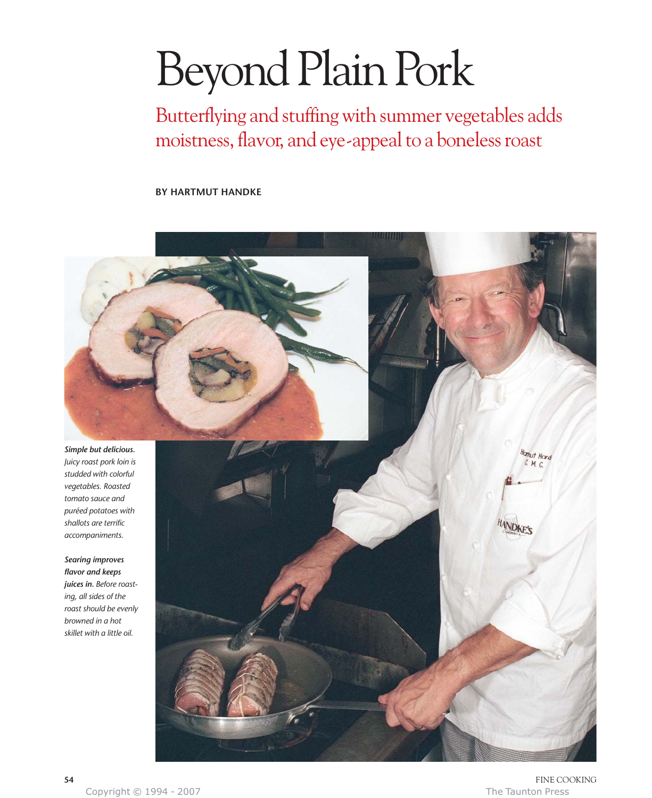# Beyond Plain Pork

Butterflying and stuffing with summer vegetables adds moistness, flavor, and eye-appeal to a boneless roast

**BY HARTMUT HANDKE**



Copyright © 1994 - 2007 The Taunton Press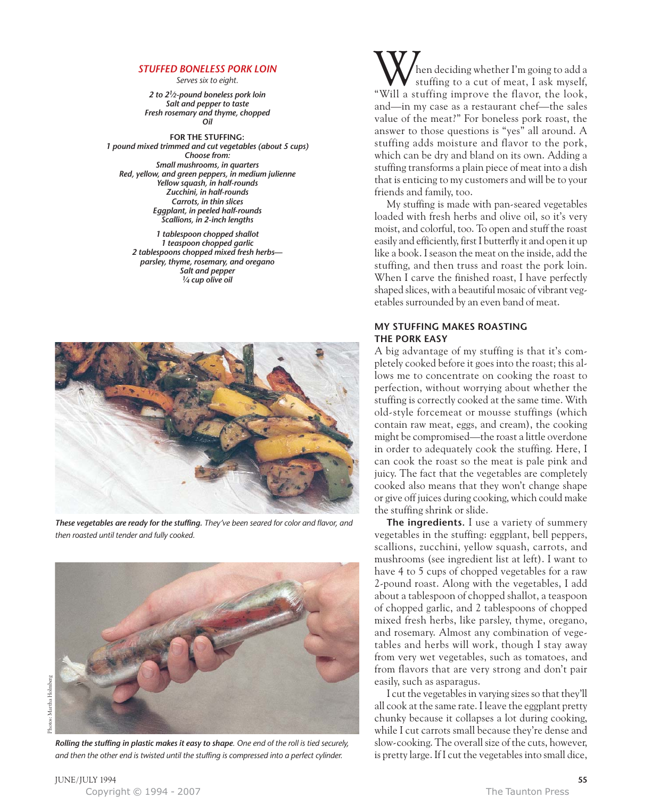## *STUFFED BONELESS PORK LOIN*

*Serves six to eight.*

*2 to 2 1⁄2 -pound boneless pork loin Salt and pepper to taste Fresh rosemary and thyme, chopped Oil*

**FOR THE STUFFING:** *1 pound mixed trimmed and cut vegetables (about 5 cups) Choose from: Small mushrooms, in quarters Red, yellow, and green peppers, in medium julienne Yellow squash, in half-rounds Zucchini, in half-rounds Carrots, in thin slices Eggplant, in peeled half-rounds Scallions, in 2-inch lengths*

> *1 tablespoon chopped shallot 1 teaspoon chopped garlic 2 tablespoons chopped mixed fresh herbs parsley, thyme, rosemary, and oregano Salt and pepper 1⁄4 cup olive oil*



*These vegetables are ready for the stuffing. They've been seared for color and flavor, and then roasted until tender and fully cooked.*



*Rolling the stuffing in plastic makes it easy to shape. One end of the roll is tied securely, and then the other end is twisted until the stuffing is compressed into a perfect cylinder.*

hen deciding whether I'm going to add a stuffing to a cut of meat, I ask myself, When deciding whether I'm going to add a<br>"Will a stuffing to a cut of meat, I ask myself,<br>"Will a stuffing improve the flavor, the look, and—in my case as a restaurant chef—the sales value of the meat?" For boneless pork roast, the answer to those questions is "yes" all around. A stuffing adds moisture and flavor to the pork, which can be dry and bland on its own. Adding a stuffing transforms a plain piece of meat into a dish that is enticing to my customers and will be to your friends and family, too.

My stuffing is made with pan-seared vegetables loaded with fresh herbs and olive oil, so it's very moist, and colorful, too. To open and stuff the roast easily and efficiently, first I butterfly it and open it up like a book. I season the meat on the inside, add the stuffing, and then truss and roast the pork loin. When I carve the finished roast, I have perfectly shaped slices, with a beautiful mosaic of vibrant vegetables surrounded by an even band of meat.

# **MY STUFFING MAKES ROASTING THE PORK EASY**

A big advantage of my stuffing is that it's completely cooked before it goes into the roast; this allows me to concentrate on cooking the roast to perfection, without worrying about whether the stuffing is correctly cooked at the same time. With old-style forcemeat or mousse stuffings (which contain raw meat, eggs, and cream), the cooking might be compromised—the roast a little overdone in order to adequately cook the stuffing. Here, I can cook the roast so the meat is pale pink and juicy. The fact that the vegetables are completely cooked also means that they won't change shape or give off juices during cooking, which could make the stuffing shrink or slide.

**The ingredients.** I use a variety of summery vegetables in the stuffing: eggplant, bell peppers, scallions, zucchini, yellow squash, carrots, and mushrooms (see ingredient list at left). I want to have 4 to 5 cups of chopped vegetables for a raw 2-pound roast. Along with the vegetables, I add about a tablespoon of chopped shallot, a teaspoon of chopped garlic, and 2 tablespoons of chopped mixed fresh herbs, like parsley, thyme, oregano, and rosemary. Almost any combination of vegetables and herbs will work, though I stay away from very wet vegetables, such as tomatoes, and from flavors that are very strong and don't pair easily, such as asparagus.

I cut the vegetables in varying sizes so that they'll all cook at the same rate. I leave the eggplant pretty chunky because it collapses a lot during cooking, while I cut carrots small because they're dense and slow-cooking. The overall size of the cuts, however, is pretty large. If I cut the vegetables into small dice,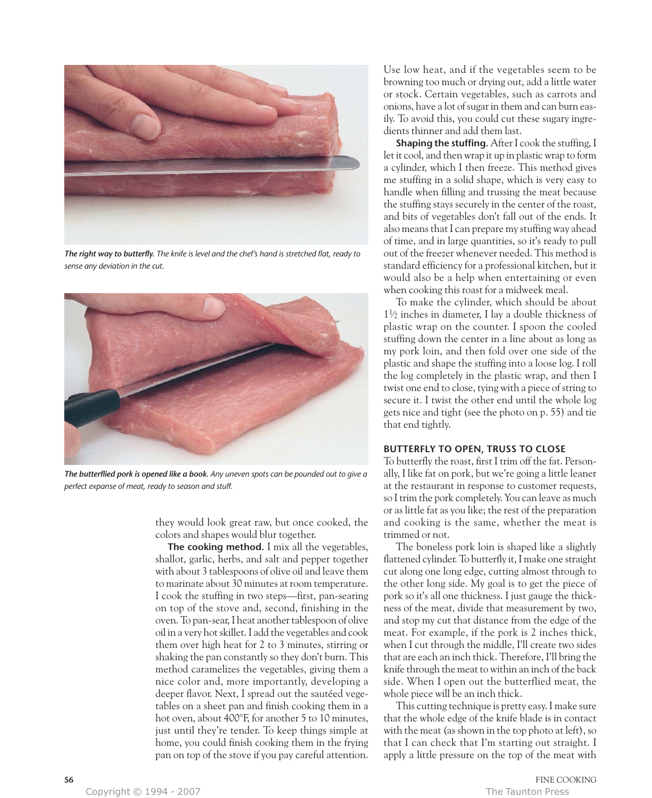

*The right way to butterfly. The knife is level and the chef's hand is stretched flat, ready to sense any deviation in the cut.*



*The butterflied pork is opened like a book. Any uneven spots can be pounded out to give a perfect expanse of meat, ready to season and stuff.*

they would look great raw, but once cooked, the colors and shapes would blur together.

**The cooking method.** I mix all the vegetables, shallot, garlic, herbs, and salt and pepper together with about 3 tablespoons of olive oil and leave them to marinate about 30 minutes at room temperature. I cook the stuffing in two steps—first, pan-searing on top of the stove and, second, finishing in the oven. To pan-sear, I heat another tablespoon of olive oil in a very hot skillet. I add the vegetables and cook them over high heat for 2 to 3 minutes, stirring or shaking the pan constantly so they don't burn. This method caramelizes the vegetables, giving them a nice color and, more importantly, developing a deeper flavor. Next, I spread out the sautéed vegetables on a sheet pan and finish cooking them in a hot oven, about 400°F, for another 5 to 10 minutes, just until they're tender. To keep things simple at home, you could finish cooking them in the frying pan on top of the stove if you pay careful attention.

Use low heat, and if the vegetables seem to be browning too much or drying out, add a little water or stock. Certain vegetables, such as carrots and onions, have a lot of sugar in them and can burn easily. To avoid this, you could cut these sugary ingredients thinner and add them last.

**Shaping the stuffing.** After I cook the stuffing, I let it cool, and then wrap it up in plastic wrap to form a cylinder, which I then freeze. This method gives me stuffing in a solid shape, which is very easy to handle when filling and trussing the meat because the stuffing stays securely in the center of the roast, and bits of vegetables don't fall out of the ends. It also means that I can prepare my stuffing way ahead of time, and in large quantities, so it's ready to pull out of the freezer whenever needed. This method is standard efficiency for a professional kitchen, but it would also be a help when entertaining or even when cooking this roast for a midweek meal.

To make the cylinder, which should be about  $1\frac{1}{2}$  inches in diameter, I lay a double thickness of plastic wrap on the counter. I spoon the cooled stuffing down the center in a line about as long as my pork loin, and then fold over one side of the plastic and shape the stuffing into a loose log. I roll the log completely in the plastic wrap, and then I twist one end to close, tying with a piece of string to secure it. I twist the other end until the whole log gets nice and tight (see the photo on p. 55) and tie that end tightly.

# **BUTTERFLY TO OPEN, TRUSS TO CLOSE**

To butterfly the roast, first I trim off the fat. Personally, I like fat on pork, but we're going a little leaner at the restaurant in response to customer requests, so I trim the pork completely. You can leave as much or as little fat as you like; the rest of the preparation and cooking is the same, whether the meat is trimmed or not.

The boneless pork loin is shaped like a slightly flattened cylinder. To butterfly it, I make one straight cut along one long edge, cutting almost through to the other long side. My goal is to get the piece of pork so it's all one thickness. I just gauge the thickness of the meat, divide that measurement by two, and stop my cut that distance from the edge of the meat. For example, if the pork is 2 inches thick, when I cut through the middle, I'll create two sides that are each an inch thick. Therefore, I'll bring the knife through the meat to within an inch of the back side. When I open out the butterflied meat, the whole piece will be an inch thick.

This cutting technique is pretty easy. I make sure that the whole edge of the knife blade is in contact with the meat (as shown in the top photo at left), so that I can check that I'm starting out straight. I apply a little pressure on the top of the meat with